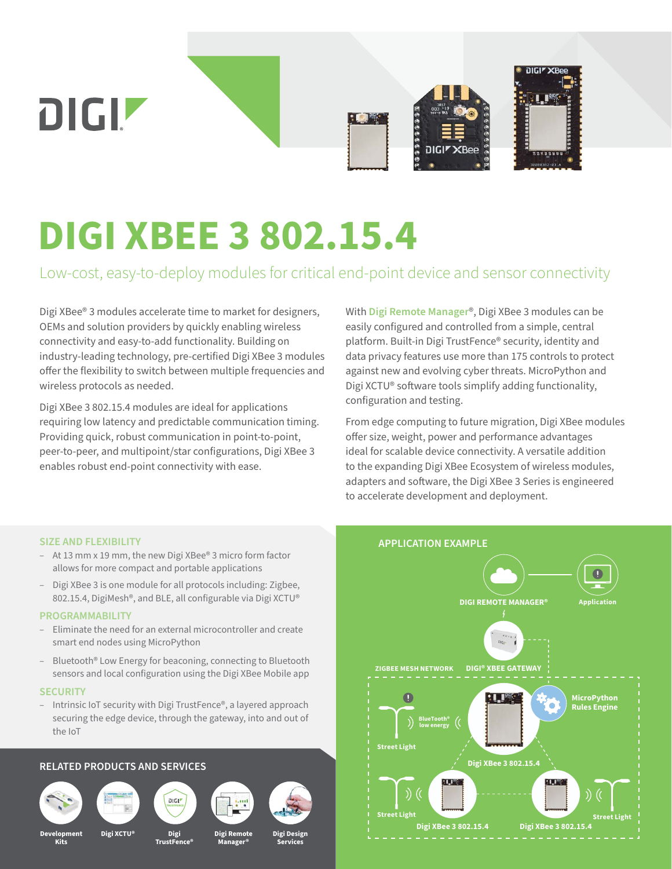

# **DIGI XBEE 3 802.15.4**

Low-cost, easy-to-deploy modules for critical end-point device and sensor connectivity

Digi XBee® 3 modules accelerate time to market for designers, OEMs and solution providers by quickly enabling wireless connectivity and easy-to-add functionality. Building on industry-leading technology, pre-certified Digi XBee 3 modules offer the flexibility to switch between multiple frequencies and wireless protocols as needed.

Digi XBee 3 802.15.4 modules are ideal for applications requiring low latency and predictable communication timing. Providing quick, robust communication in point-to-point, peer-to-peer, and multipoint/star configurations, Digi XBee 3 enables robust end-point connectivity with ease.

With **[Digi Remote Manager](https://www.digi.com/products/iot-software-services/digi-remote-manager)**®, Digi XBee 3 modules can be easily configured and controlled from a simple, central platform. Built-in Digi TrustFence® security, identity and data privacy features use more than 175 controls to protect against new and evolving cyber threats. MicroPython and Digi XCTU® software tools simplify adding functionality, configuration and testing.

From edge computing to future migration, Digi XBee modules offer size, weight, power and performance advantages ideal for scalable device connectivity. A versatile addition to the expanding Digi XBee Ecosystem of wireless modules, adapters and software, the Digi XBee 3 Series is engineered to accelerate development and deployment.

### **SIZE AND FLEXIBILITY**

- At 13 mm x 19 mm, the new Digi XBee® 3 micro form factor allows for more compact and portable applications
- Digi XBee 3 is one module for all protocols including: Zigbee, 802.15.4, DigiMesh®, and BLE, all configurable via Digi XCTU®

## **PROGRAMMABILITY**

- Eliminate the need for an external microcontroller and create smart end nodes using MicroPython
- Bluetooth® Low Energy for beaconing, connecting to Bluetooth sensors and local configuration using the Digi XBee Mobile app

#### **SECURITY**

– Intrinsic IoT security with Digi TrustFence®, a layered approach securing the edge device, through the gateway, into and out of the IoT

# **RELATED PRODUCTS AND SERVICES**











**Manager®**



**Development Kits**

**Digi TrustFence® Digi XCTU® Digi Remote**

**Digi Design Services**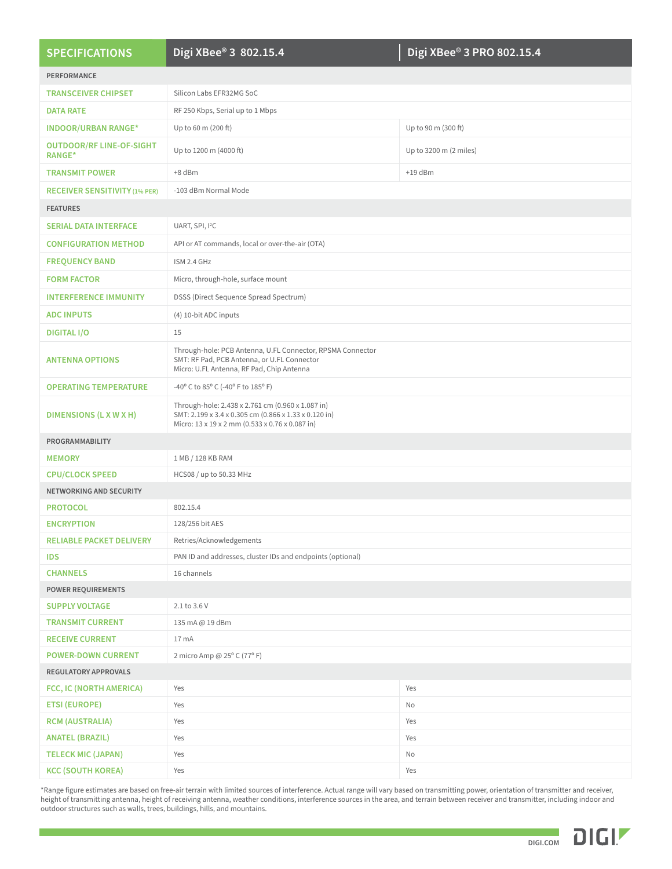| <b>SPECIFICATIONS</b>                            | Digi XBee® 3 802.15.4                                                                                                                                         | Digi XBee® 3 PRO 802.15.4 |
|--------------------------------------------------|---------------------------------------------------------------------------------------------------------------------------------------------------------------|---------------------------|
| PERFORMANCE                                      |                                                                                                                                                               |                           |
| <b>TRANSCEIVER CHIPSET</b>                       | Silicon Labs EFR32MG SoC                                                                                                                                      |                           |
| <b>DATA RATE</b>                                 | RF 250 Kbps, Serial up to 1 Mbps                                                                                                                              |                           |
| <b>INDOOR/URBAN RANGE*</b>                       | Up to 60 m (200 ft)                                                                                                                                           | Up to 90 m (300 ft)       |
| <b>OUTDOOR/RF LINE-OF-SIGHT</b><br><b>RANGE*</b> | Up to 1200 m (4000 ft)                                                                                                                                        | Up to 3200 m (2 miles)    |
| <b>TRANSMIT POWER</b>                            | +8 dBm                                                                                                                                                        | $+19$ dBm                 |
| <b>RECEIVER SENSITIVITY (1% PER)</b>             | -103 dBm Normal Mode                                                                                                                                          |                           |
| <b>FEATURES</b>                                  |                                                                                                                                                               |                           |
| <b>SERIAL DATA INTERFACE</b>                     | UART, SPI, I <sup>2</sup> C                                                                                                                                   |                           |
| <b>CONFIGURATION METHOD</b>                      | API or AT commands, local or over-the-air (OTA)                                                                                                               |                           |
| <b>FREQUENCY BAND</b>                            | ISM 2.4 GHz                                                                                                                                                   |                           |
| <b>FORM FACTOR</b>                               | Micro, through-hole, surface mount                                                                                                                            |                           |
|                                                  |                                                                                                                                                               |                           |
| <b>INTERFERENCE IMMUNITY</b>                     | DSSS (Direct Sequence Spread Spectrum)                                                                                                                        |                           |
| <b>ADC INPUTS</b>                                | (4) 10-bit ADC inputs                                                                                                                                         |                           |
| <b>DIGITAL I/O</b>                               | 15                                                                                                                                                            |                           |
| <b>ANTENNA OPTIONS</b>                           | Through-hole: PCB Antenna, U.FL Connector, RPSMA Connector<br>SMT: RF Pad, PCB Antenna, or U.FL Connector<br>Micro: U.FL Antenna, RF Pad, Chip Antenna        |                           |
| <b>OPERATING TEMPERATURE</b>                     | -40° C to 85° C (-40° F to 185° F)                                                                                                                            |                           |
| <b>DIMENSIONS (L X W X H)</b>                    | Through-hole: 2.438 x 2.761 cm (0.960 x 1.087 in)<br>SMT: 2.199 x 3.4 x 0.305 cm (0.866 x 1.33 x 0.120 in)<br>Micro: 13 x 19 x 2 mm (0.533 x 0.76 x 0.087 in) |                           |
| PROGRAMMABILITY                                  |                                                                                                                                                               |                           |
| <b>MEMORY</b>                                    | 1 MB / 128 KB RAM                                                                                                                                             |                           |
| <b>CPU/CLOCK SPEED</b>                           | HCS08 / up to 50.33 MHz                                                                                                                                       |                           |
| NETWORKING AND SECURITY                          |                                                                                                                                                               |                           |
| <b>PROTOCOL</b>                                  | 802.15.4                                                                                                                                                      |                           |
| <b>ENCRYPTION</b>                                | 128/256 bit AES                                                                                                                                               |                           |
| <b>RELIABLE PACKET DELIVERY</b>                  | Retries/Acknowledgements                                                                                                                                      |                           |
| <b>IDS</b>                                       | PAN ID and addresses, cluster IDs and endpoints (optional)                                                                                                    |                           |
| <b>CHANNELS</b>                                  | 16 channels                                                                                                                                                   |                           |
| <b>POWER REQUIREMENTS</b>                        |                                                                                                                                                               |                           |
| <b>SUPPLY VOLTAGE</b>                            | 2.1 to 3.6 V                                                                                                                                                  |                           |
| <b>TRANSMIT CURRENT</b>                          | 135 mA @ 19 dBm                                                                                                                                               |                           |
| <b>RECEIVE CURRENT</b>                           | 17 mA                                                                                                                                                         |                           |
| <b>POWER-DOWN CURRENT</b>                        | 2 micro Amp @ 25° C (77° F)                                                                                                                                   |                           |
| <b>REGULATORY APPROVALS</b>                      |                                                                                                                                                               |                           |
| FCC, IC (NORTH AMERICA)                          | Yes                                                                                                                                                           | Yes                       |
| <b>ETSI (EUROPE)</b>                             | Yes                                                                                                                                                           | No                        |
| <b>RCM (AUSTRALIA)</b>                           | Yes                                                                                                                                                           | Yes                       |
| <b>ANATEL (BRAZIL)</b>                           | Yes                                                                                                                                                           | Yes                       |
| <b>TELECK MIC (JAPAN)</b>                        | Yes                                                                                                                                                           | No                        |
| <b>KCC (SOUTH KOREA)</b>                         | Yes                                                                                                                                                           | Yes                       |

\*Range figure estimates are based on free-air terrain with limited sources of interference. Actual range will vary based on transmitting power, orientation of transmitter and receiver, height of transmitting antenna, height of receiving antenna, weather conditions, interference sources in the area, and terrain between receiver and transmitter, including indoor and outdoor structures such as walls, trees, buildings, hills, and mountains.